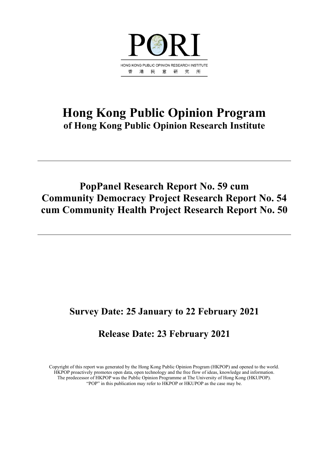

# **Hong Kong Public Opinion Program of Hong Kong Public Opinion Research Institute**

# **PopPanel Research Report No. 59 cum Community Democracy Project Research Report No. 54 cum Community Health Project Research Report No. 50**

# **Survey Date: 25 January to 22 February 2021**

# **Release Date: 23 February 2021**

Copyright of this report was generated by the Hong Kong Public Opinion Program (HKPOP) and opened to the world. HKPOP proactively promotes open data, open technology and the free flow of ideas, knowledge and information. The predecessor of HKPOP was the Public Opinion Programme at The University of Hong Kong (HKUPOP). "POP" in this publication may refer to HKPOP or HKUPOP as the case may be.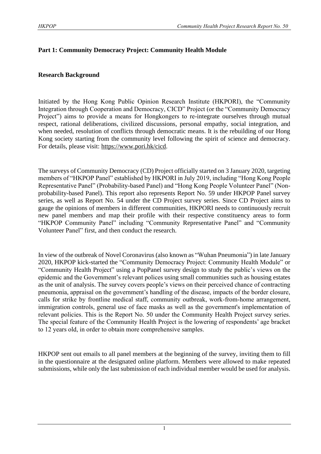# **Part 1: Community Democracy Project: Community Health Module**

## **Research Background**

Initiated by the Hong Kong Public Opinion Research Institute (HKPORI), the "Community Integration through Cooperation and Democracy, CICD" Project (or the "Community Democracy Project") aims to provide a means for Hongkongers to re-integrate ourselves through mutual respect, rational deliberations, civilized discussions, personal empathy, social integration, and when needed, resolution of conflicts through democratic means. It is the rebuilding of our Hong Kong society starting from the community level following the spirit of science and democracy. For details, please visit: [https://www.pori.hk/cicd.](https://www.pori.hk/cicd)

The surveys of Community Democracy (CD) Project officially started on 3 January 2020, targeting members of "HKPOP Panel" established by HKPORI in July 2019, including "Hong Kong People Representative Panel" (Probability-based Panel) and "Hong Kong People Volunteer Panel" (Nonprobability-based Panel). This report also represents Report No. 59 under HKPOP Panel survey series, as well as Report No. 54 under the CD Project survey series. Since CD Project aims to gauge the opinions of members in different communities, HKPORI needs to continuously recruit new panel members and map their profile with their respective constituency areas to form "HKPOP Community Panel" including "Community Representative Panel" and "Community Volunteer Panel" first, and then conduct the research.

In view of the outbreak of Novel Coronavirus (also known as "Wuhan Pneumonia") in late January 2020, HKPOP kick-started the "Community Democracy Project: Community Health Module" or "Community Health Project" using a PopPanel survey design to study the public's views on the epidemic and the Government's relevant polices using small communities such as housing estates as the unit of analysis. The survey covers people's views on their perceived chance of contracting pneumonia, appraisal on the government's handling of the disease, impacts of the border closure, calls for strike by frontline medical staff, community outbreak, work-from-home arrangement, immigration controls, general use of face masks as well as the government's implementation of relevant policies. This is the Report No. 50 under the Community Health Project survey series. The special feature of the Community Health Project is the lowering of respondents' age bracket to 12 years old, in order to obtain more comprehensive samples.

HKPOP sent out emails to all panel members at the beginning of the survey, inviting them to fill in the questionnaire at the designated online platform. Members were allowed to make repeated submissions, while only the last submission of each individual member would be used for analysis.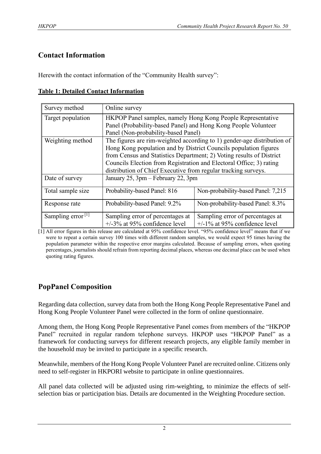# **Contact Information**

Herewith the contact information of the "Community Health survey":

|  |  | <b>Table 1: Detailed Contact Information</b> |
|--|--|----------------------------------------------|
|  |  |                                              |

| Survey method                 | Online survey                                                        |                                                                         |
|-------------------------------|----------------------------------------------------------------------|-------------------------------------------------------------------------|
| Target population             | HKPOP Panel samples, namely Hong Kong People Representative          |                                                                         |
|                               | Panel (Probability-based Panel) and Hong Kong People Volunteer       |                                                                         |
|                               | Panel (Non-probability-based Panel)                                  |                                                                         |
| Weighting method              |                                                                      | The figures are rim-weighted according to 1) gender-age distribution of |
|                               | Hong Kong population and by District Councils population figures     |                                                                         |
|                               | from Census and Statistics Department; 2) Voting results of District |                                                                         |
|                               | Councils Election from Registration and Electoral Office; 3) rating  |                                                                         |
|                               | distribution of Chief Executive from regular tracking surveys.       |                                                                         |
| Date of survey                | January 25, 3pm – February 22, 3pm                                   |                                                                         |
| Total sample size             | Probability-based Panel: 816                                         | Non-probability-based Panel: 7,215                                      |
| Response rate                 | Probability-based Panel: 9.2%                                        | Non-probability-based Panel: 8.3%                                       |
| Sampling error <sup>[1]</sup> | Sampling error of percentages at                                     | Sampling error of percentages at                                        |
|                               | $+/-3\%$ at 95% confidence level                                     | $+/-1\%$ at 95% confidence level                                        |

[1] All error figures in this release are calculated at 95% confidence level. "95% confidence level" means that if we were to repeat a certain survey 100 times with different random samples, we would expect 95 times having the population parameter within the respective error margins calculated. Because of sampling errors, when quoting percentages, journalists should refrain from reporting decimal places, whereas one decimal place can be used when quoting rating figures.

# **PopPanel Composition**

Regarding data collection, survey data from both the Hong Kong People Representative Panel and Hong Kong People Volunteer Panel were collected in the form of online questionnaire.

Among them, the Hong Kong People Representative Panel comes from members of the "HKPOP Panel" recruited in regular random telephone surveys. HKPOP uses "HKPOP Panel" as a framework for conducting surveys for different research projects, any eligible family member in the household may be invited to participate in a specific research.

Meanwhile, members of the Hong Kong People Volunteer Panel are recruited online. Citizens only need to self-register in HKPORI website to participate in online questionnaires.

All panel data collected will be adjusted using rim-weighting, to minimize the effects of selfselection bias or participation bias. Details are documented in the Weighting Procedure section.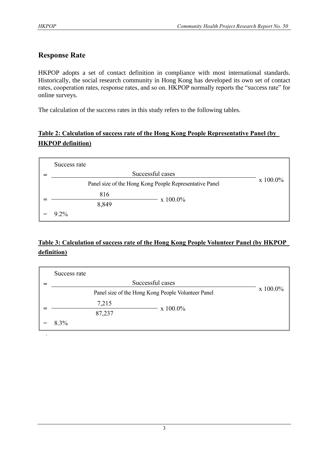# **Response Rate**

HKPOP adopts a set of contact definition in compliance with most international standards. Historically, the social research community in Hong Kong has developed its own set of contact rates, cooperation rates, response rates, and so on. HKPOP normally reports the "success rate" for online surveys.

The calculation of the success rates in this study refers to the following tables.

# **Table 2: Calculation of success rate of the Hong Kong People Representative Panel (by HKPOP definition)**

| Success rate |                                                         |             |
|--------------|---------------------------------------------------------|-------------|
|              | Successful cases                                        |             |
|              | Panel size of the Hong Kong People Representative Panel | $x 100.0\%$ |
| 816          |                                                         |             |
| 8,849        | $\rm x\;100.0\%$                                        |             |
| $9.2\%$      |                                                         |             |

# **Table 3: Calculation of success rate of the Hong Kong People Volunteer Panel (by HKPOP definition)**

| Success rate |        |                                                    |          |
|--------------|--------|----------------------------------------------------|----------|
|              |        | Successful cases                                   |          |
|              |        | Panel size of the Hong Kong People Volunteer Panel | x 100.0% |
|              | 7,215  |                                                    |          |
|              | 87,237 | x 100.0%                                           |          |
| 8.3%         |        |                                                    |          |
|              |        |                                                    |          |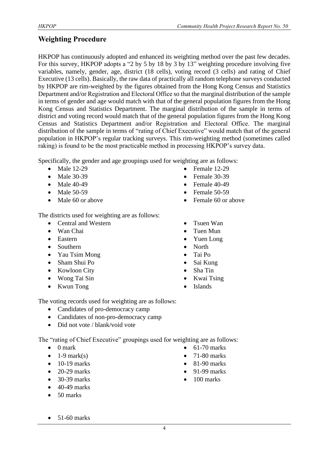# **Weighting Procedure**

HKPOP has continuously adopted and enhanced its weighting method over the past few decades. For this survey, HKPOP adopts a "2 by 5 by 18 by 3 by 13" weighting procedure involving five variables, namely, gender, age, district (18 cells), voting record (3 cells) and rating of Chief Executive (13 cells). Basically, the raw data of practically all random telephone surveys conducted by HKPOP are rim-weighted by the figures obtained from the Hong Kong Census and Statistics Department and/or Registration and Electoral Office so that the marginal distribution of the sample in terms of gender and age would match with that of the general population figures from the Hong Kong Census and Statistics Department. The marginal distribution of the sample in terms of district and voting record would match that of the general population figures from the Hong Kong Census and Statistics Department and/or Registration and Electoral Office. The marginal distribution of the sample in terms of "rating of Chief Executive" would match that of the general population in HKPOP's regular tracking surveys. This rim-weighting method (sometimes called raking) is found to be the most practicable method in processing HKPOP's survey data.

Specifically, the gender and age groupings used for weighting are as follows:

- Male 12-29
- Male 30-39
- Male 40-49
- Male 50-59
- Male 60 or above

The districts used for weighting are as follows:

- Central and Western
- Wan Chai
- Eastern
- Southern
- Yau Tsim Mong
- Sham Shui Po
- Kowloon City
- Wong Tai Sin
- Kwun Tong
- Female 12-29
- Female 30-39
- Female 40-49
- Female 50-59
- Female 60 or above
- Tsuen Wan
- Tuen Mun
- Yuen Long
- North
- Tai Po
- Sai Kung
- Sha Tin
- Kwai Tsing
- **Islands**

The voting records used for weighting are as follows:

- Candidates of pro-democracy camp
- Candidates of non-pro-democracy camp
- Did not vote / blank/void vote

The "rating of Chief Executive" groupings used for weighting are as follows:

- 0 mark
- $\bullet$  1-9 mark(s)
- $\bullet$  10-19 marks
- $\bullet$  20-29 marks
- 30-39 marks
- 40-49 marks
- 50 marks
- 61-70 marks
- 71-80 marks
- 81-90 marks
- 91-99 marks
- 100 marks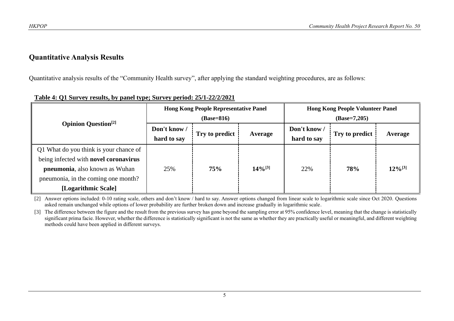# **Quantitative Analysis Results**

Quantitative analysis results of the "Community Health survey", after applying the standard weighting procedures, are as follows:

|                                                                                                                                                                                 |                             | <b>Hong Kong People Representative Panel</b><br>$(Base=816)$ |                                                          | <b>Hong Kong People Volunteer Panel</b><br>$(Base=7,205)$ |     |              |  |
|---------------------------------------------------------------------------------------------------------------------------------------------------------------------------------|-----------------------------|--------------------------------------------------------------|----------------------------------------------------------|-----------------------------------------------------------|-----|--------------|--|
| <b>Opinion Question</b> <sup>[2]</sup>                                                                                                                                          | Don't know /<br>hard to say | Try to predict                                               | Don't know /<br>Try to predict<br>Average<br>hard to say | Average                                                   |     |              |  |
| Q1 What do you think is your chance of<br>being infected with novel coronavirus<br>pneumonia, also known as Wuhan<br>pneumonia, in the coming one month?<br>[Logarithmic Scale] | 25%                         | 75%                                                          | $14\%^{[3]}$                                             | 22%                                                       | 78% | $12\%^{[3]}$ |  |

# **Table 4: Q1 Survey results, by panel type; Survey period: 25/1-22/2/2021**

[2] Answer options included: 0-10 rating scale, others and don't know / hard to say. Answer options changed from linear scale to logarithmic scale since Oct 2020. Questions asked remain unchanged while options of lower probability are further broken down and increase gradually in logarithmic scale.

[3] The difference between the figure and the result from the previous survey has gone beyond the sampling error at 95% confidence level, meaning that the change is statistically significant prima facie. However, whether the difference is statistically significant is not the same as whether they are practically useful or meaningful, and different weighting methods could have been applied in different surveys.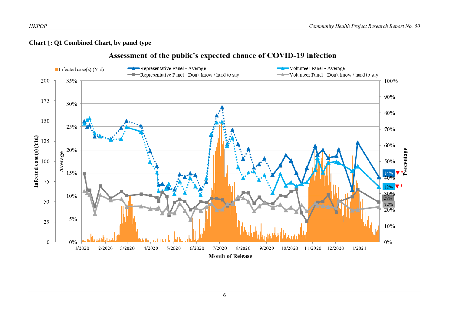#### **Chart** 1**: Q1 Combined Chart, by panel type**

# Assessment of the public's expected chance of COVID-19 infection

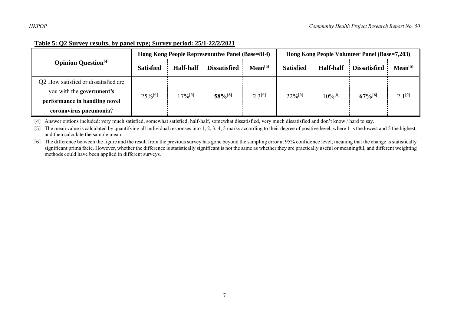| Table 5: Q2 Survey results, by panel type; Survey period: 25/1-22/2/2021 |
|--------------------------------------------------------------------------|
|--------------------------------------------------------------------------|

|                                        |                  |                  | Hong Kong People Representative Panel (Base=814) |                     | Hong Kong People Volunteer Panel (Base=7,203) |                  |                       |              |
|----------------------------------------|------------------|------------------|--------------------------------------------------|---------------------|-----------------------------------------------|------------------|-----------------------|--------------|
| <b>Opinion Question</b> <sup>[4]</sup> | <b>Satisfied</b> | <b>Half-half</b> | <b>Dissatisfied</b>                              | Mean <sup>[5]</sup> | <b>Satisfied</b>                              | <b>Half-half</b> | <b>Dissatisfied</b>   | $Mean^{[5]}$ |
| Q2 How satisfied or dissatisfied are   |                  |                  |                                                  |                     |                                               |                  |                       |              |
| you with the government's              | $25\%^{[6]}$     | $7\%^{[6]}$      | 58%[6]                                           | $2.3^{[6]}$         | $22\%^{[6]}$                                  | $10\%^{[6]}$     | $67\%$ <sup>[6]</sup> | $2.1^{[6]}$  |
| performance in handling novel          |                  |                  |                                                  |                     |                                               |                  |                       |              |
| coronavirus pneumonia?                 |                  |                  |                                                  |                     |                                               |                  |                       |              |

[4] Answer options included: very much satisfied, somewhat satisfied, half-half, somewhat dissatisfied, very much dissatisfied and don't know / hard to say.

[5] The mean value is calculated by quantifying all individual responses into 1, 2, 3, 4, 5 marks according to their degree of positive level, where 1 is the lowest and 5 the highest, and then calculate the sample mean.

[6] The difference between the figure and the result from the previous survey has gone beyond the sampling error at 95% confidence level, meaning that the change is statistically significant prima facie. However, whether the difference is statistically significant is not the same as whether they are practically useful or meaningful, and different weighting methods could have been applied in different surveys.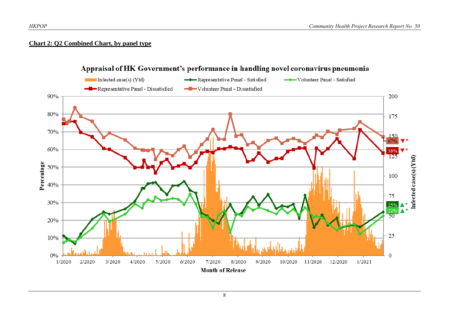## **Chart 2: Q2 Combined Chart, by panel type**

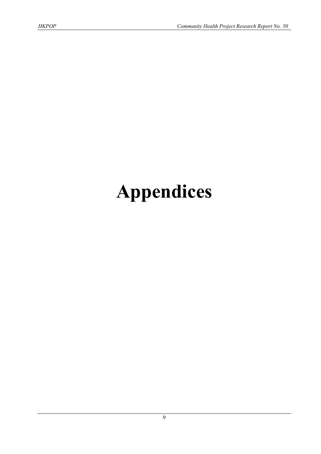# **Appendices**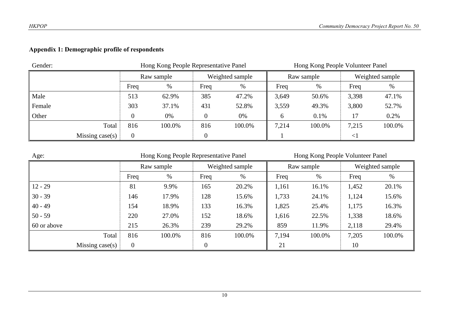# **Appendix 1: Demographic profile of respondents**

| Gender:           | Hong Kong People Representative Panel |            |      |                 | Hong Kong People Volunteer Panel |            |        |                 |  |
|-------------------|---------------------------------------|------------|------|-----------------|----------------------------------|------------|--------|-----------------|--|
|                   |                                       | Raw sample |      | Weighted sample |                                  | Raw sample |        | Weighted sample |  |
|                   | Freq                                  | %          | Freq | $\%$            | Freq                             | %          | Freq   | $\%$            |  |
| Male              | 513                                   | 62.9%      | 385  | 47.2%           | 3,649                            | 50.6%      | 3,398  | 47.1%           |  |
| Female            | 303                                   | 37.1%      | 431  | 52.8%           | 3,559                            | 49.3%      | 3,800  | 52.7%           |  |
| Other             |                                       | 0%         |      | 0%              | 6                                | 0.1%       | 17     | 0.2%            |  |
| Total             | 816                                   | 100.0%     | 816  | 100.0%          | 7,214                            | 100.0%     | 7,215  | 100.0%          |  |
| Missing $case(s)$ | $\boldsymbol{0}$                      |            |      |                 |                                  |            | $\leq$ |                 |  |

| Age:              |                |            |                  | Hong Kong People Representative Panel<br>Hong Kong People Volunteer Panel |       |            |       |                 |  |
|-------------------|----------------|------------|------------------|---------------------------------------------------------------------------|-------|------------|-------|-----------------|--|
|                   |                | Raw sample |                  | Weighted sample                                                           |       | Raw sample |       | Weighted sample |  |
|                   | Freq           | %          | Freq             | %                                                                         | Freq  | %          | Freq  | %               |  |
| $12 - 29$         | 81             | 9.9%       | 165              | 20.2%                                                                     | 1,161 | 16.1%      | 1,452 | 20.1%           |  |
| $30 - 39$         | 146            | 17.9%      | 128              | 15.6%                                                                     | 1,733 | 24.1%      | 1,124 | 15.6%           |  |
| $40 - 49$         | 154            | 18.9%      | 133              | 16.3%                                                                     | 1,825 | 25.4%      | 1,175 | 16.3%           |  |
| $50 - 59$         | 220            | 27.0%      | 152              | 18.6%                                                                     | 1,616 | 22.5%      | 1,338 | 18.6%           |  |
| 60 or above       | 215            | 26.3%      | 239              | 29.2%                                                                     | 859   | 11.9%      | 2,118 | 29.4%           |  |
| Total             | 816            | 100.0%     | 816              | 100.0%                                                                    | 7,194 | 100.0%     | 7,205 | 100.0%          |  |
| Missing $case(s)$ | $\overline{0}$ |            | $\boldsymbol{0}$ |                                                                           | 21    |            | 10    |                 |  |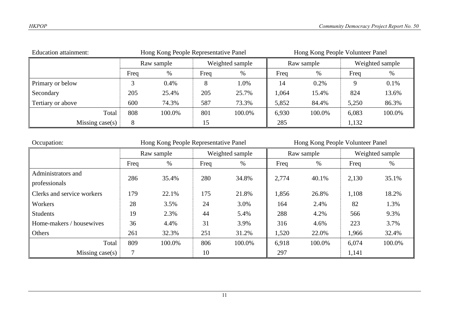| <b>Education attainment:</b> | Hong Kong People Representative Panel |        |      | Hong Kong People Volunteer Panel |       |            |       |                 |  |
|------------------------------|---------------------------------------|--------|------|----------------------------------|-------|------------|-------|-----------------|--|
|                              | Raw sample                            |        |      | Weighted sample                  |       | Raw sample |       | Weighted sample |  |
|                              | Freq                                  | %      | Freq | $\%$                             | Freq  | %          | Freq  | $\%$            |  |
| Primary or below             |                                       | 0.4%   | 8    | 1.0%                             | 14    | 0.2%       |       | 0.1%            |  |
| Secondary                    | 205                                   | 25.4%  | 205  | 25.7%                            | 1,064 | 15.4%      | 824   | 13.6%           |  |
| Tertiary or above            | 600                                   | 74.3%  | 587  | 73.3%                            | 5,852 | 84.4%      | 5,250 | 86.3%           |  |
| Total                        | 808                                   | 100.0% | 801  | 100.0%                           | 6,930 | 100.0%     | 6,083 | 100.0%          |  |
| Missing case(s)              | 8                                     |        | 15   |                                  | 285   |            | 1,132 |                 |  |

| Occupation:                | Hong Kong People Representative Panel |            |      |                 | Hong Kong People Volunteer Panel |            |                 |        |  |
|----------------------------|---------------------------------------|------------|------|-----------------|----------------------------------|------------|-----------------|--------|--|
|                            |                                       | Raw sample |      | Weighted sample |                                  | Raw sample | Weighted sample |        |  |
|                            | Freq                                  | %          | Freq | $\%$            | Freq                             | %          | Freq            | $\%$   |  |
| Administrators and         | 286                                   | 35.4%      | 280  | 34.8%           | 2,774                            | 40.1%      | 2,130           | 35.1%  |  |
| professionals              |                                       |            |      |                 |                                  |            |                 |        |  |
| Clerks and service workers | 179                                   | 22.1%      | 175  | 21.8%           | 1,856                            | 26.8%      | 1,108           | 18.2%  |  |
| Workers                    | 28                                    | 3.5%       | 24   | 3.0%            | 164                              | 2.4%       | 82              | 1.3%   |  |
| Students                   | 19                                    | 2.3%       | 44   | 5.4%            | 288                              | 4.2%       | 566             | 9.3%   |  |
| Home-makers / housewives   | 36                                    | 4.4%       | 31   | 3.9%            | 316                              | 4.6%       | 223             | 3.7%   |  |
| Others                     | 261                                   | 32.3%      | 251  | 31.2%           | 1,520                            | 22.0%      | 1,966           | 32.4%  |  |
| Total                      | 809                                   | 100.0%     | 806  | 100.0%          | 6,918                            | 100.0%     | 6,074           | 100.0% |  |
| Missing $case(s)$          |                                       |            | 10   |                 | 297                              |            | 1,141           |        |  |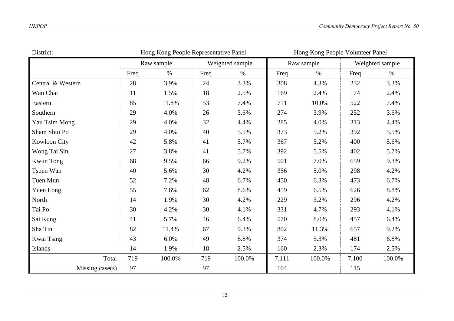| District:         | Hong Kong People Volunteer Panel<br>Hong Kong People Representative Panel |            |      |                 |       |            |       |                 |
|-------------------|---------------------------------------------------------------------------|------------|------|-----------------|-------|------------|-------|-----------------|
|                   |                                                                           | Raw sample |      | Weighted sample |       | Raw sample |       | Weighted sample |
|                   | Freq                                                                      | $\%$       | Freq | $\%$            | Freq  | $\%$       | Freq  | $\%$            |
| Central & Western | 28                                                                        | 3.9%       | 24   | 3.3%            | 308   | 4.3%       | 232   | 3.3%            |
| Wan Chai          | 11                                                                        | 1.5%       | 18   | 2.5%            | 169   | 2.4%       | 174   | 2.4%            |
| Eastern           | 85                                                                        | 11.8%      | 53   | 7.4%            | 711   | 10.0%      | 522   | 7.4%            |
| Southern          | 29                                                                        | 4.0%       | 26   | 3.6%            | 274   | 3.9%       | 252   | 3.6%            |
| Yau Tsim Mong     | 29                                                                        | 4.0%       | 32   | 4.4%            | 285   | 4.0%       | 313   | 4.4%            |
| Sham Shui Po      | 29                                                                        | 4.0%       | 40   | 5.5%            | 373   | 5.2%       | 392   | 5.5%            |
| Kowloon City      | 42                                                                        | 5.8%       | 41   | 5.7%            | 367   | 5.2%       | 400   | 5.6%            |
| Wong Tai Sin      | 27                                                                        | 3.8%       | 41   | 5.7%            | 392   | 5.5%       | 402   | 5.7%            |
| Kwun Tong         | 68                                                                        | 9.5%       | 66   | 9.2%            | 501   | 7.0%       | 659   | 9.3%            |
| Tsuen Wan         | 40                                                                        | 5.6%       | 30   | 4.2%            | 356   | 5.0%       | 298   | 4.2%            |
| Tuen Mun          | 52                                                                        | 7.2%       | 48   | 6.7%            | 450   | 6.3%       | 473   | 6.7%            |
| Yuen Long         | 55                                                                        | 7.6%       | 62   | 8.6%            | 459   | 6.5%       | 626   | 8.8%            |
| North             | 14                                                                        | 1.9%       | 30   | 4.2%            | 229   | 3.2%       | 296   | 4.2%            |
| Tai Po            | 30                                                                        | 4.2%       | 30   | 4.1%            | 331   | 4.7%       | 293   | 4.1%            |
| Sai Kung          | 41                                                                        | 5.7%       | 46   | 6.4%            | 570   | 8.0%       | 457   | 6.4%            |
| Sha Tin           | 82                                                                        | 11.4%      | 67   | 9.3%            | 802   | 11.3%      | 657   | 9.2%            |
| Kwai Tsing        | 43                                                                        | 6.0%       | 49   | 6.8%            | 374   | 5.3%       | 481   | 6.8%            |
| Islands           | 14                                                                        | 1.9%       | 18   | 2.5%            | 160   | 2.3%       | 174   | 2.5%            |
| Total             | 719                                                                       | 100.0%     | 719  | 100.0%          | 7,111 | 100.0%     | 7,100 | 100.0%          |
| Missing $case(s)$ | 97                                                                        |            | 97   |                 | 104   |            | 115   |                 |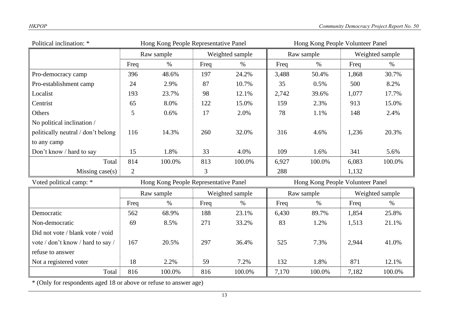| Political inclination: *           | Hong Kong People Representative Panel |                                       |      |                 | Hong Kong People Volunteer Panel |                                  |       |                 |  |
|------------------------------------|---------------------------------------|---------------------------------------|------|-----------------|----------------------------------|----------------------------------|-------|-----------------|--|
|                                    |                                       | Raw sample                            |      | Weighted sample | Raw sample                       |                                  |       | Weighted sample |  |
|                                    | Freq                                  | $\%$                                  | Freq | $\%$            | Freq                             | $\%$                             | Freq  | $\%$            |  |
| Pro-democracy camp                 | 396                                   | 48.6%                                 | 197  | 24.2%           | 3,488                            | 50.4%                            | 1,868 | 30.7%           |  |
| Pro-establishment camp             | 24                                    | 2.9%                                  | 87   | 10.7%           | 35                               | 0.5%                             | 500   | 8.2%            |  |
| Localist                           | 193                                   | 23.7%                                 | 98   | 12.1%           | 2,742                            | 39.6%                            | 1,077 | 17.7%           |  |
| Centrist                           | 65                                    | 8.0%                                  | 122  | 15.0%           | 159                              | 2.3%                             | 913   | 15.0%           |  |
| Others                             | 5                                     | 0.6%                                  | 17   | 2.0%            | 78                               | 1.1%                             | 148   | 2.4%            |  |
| No political inclination /         |                                       |                                       |      |                 |                                  |                                  |       |                 |  |
| politically neutral / don't belong | 116                                   | 14.3%                                 | 260  | 32.0%           | 316                              | 4.6%                             | 1,236 | 20.3%           |  |
| to any camp                        |                                       |                                       |      |                 |                                  |                                  |       |                 |  |
| Don't know / hard to say           | 15                                    | 1.8%                                  | 33   | 4.0%            | 109                              | 1.6%                             | 341   | 5.6%            |  |
| Total                              | 814                                   | 100.0%                                | 813  | 100.0%          | 6,927                            | 100.0%                           | 6,083 | 100.0%          |  |
| Missing $case(s)$                  | $\overline{2}$                        |                                       | 3    |                 | 288                              |                                  | 1,132 |                 |  |
| Voted political camp: *            |                                       | Hong Kong People Representative Panel |      |                 |                                  | Hong Kong People Volunteer Panel |       |                 |  |
|                                    |                                       | Raw sample                            |      | Weighted sample |                                  | Raw sample                       |       | Weighted sample |  |
|                                    | Freq                                  | $\%$                                  | Freq | $\%$            | Freq                             | $\%$                             | Freq  | $\%$            |  |
| Democratic                         | 562                                   | 68.9%                                 | 188  | 23.1%           | 6,430                            | 89.7%                            | 1,854 | 25.8%           |  |
| Non-democratic                     | 69                                    | 8.5%                                  | 271  | 33.2%           | 83                               | 1.2%                             | 1,513 | 21.1%           |  |
| Did not vote / blank vote / void   |                                       |                                       |      |                 |                                  |                                  |       |                 |  |
| vote / don't know / hard to say /  | 167                                   | 20.5%                                 | 297  | 36.4%           | 525                              | 7.3%                             | 2,944 | 41.0%           |  |
| refuse to answer                   |                                       |                                       |      |                 |                                  |                                  |       |                 |  |
| Not a registered voter             | 18                                    | 2.2%                                  | 59   | 7.2%            | 132                              | 1.8%                             | 871   | 12.1%           |  |
| Total                              | 816                                   | 100.0%                                | 816  | 100.0%          | 7,170                            | 100.0%                           | 7,182 | 100.0%          |  |

\* (Only for respondents aged 18 or above or refuse to answer age)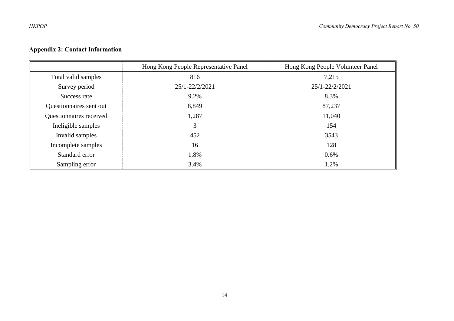# **Appendix 2: Contact Information**

|                         | Hong Kong People Representative Panel | Hong Kong People Volunteer Panel |
|-------------------------|---------------------------------------|----------------------------------|
| Total valid samples     | 816                                   | 7,215                            |
| Survey period           | 25/1-22/2/2021                        | 25/1-22/2/2021                   |
| Success rate            | 9.2%                                  | 8.3%                             |
| Questionnaires sent out | 8,849                                 | 87,237                           |
| Questionnaires received | 1,287                                 | 11,040                           |
| Ineligible samples      | 3                                     | 154                              |
| Invalid samples         | 452                                   | 3543                             |
| Incomplete samples      | 16                                    | 128                              |
| Standard error          | 1.8%                                  | 0.6%                             |
| Sampling error          | 3.4%                                  | 1.2%                             |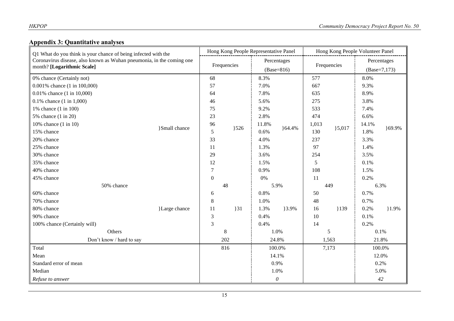# **Appendix 3: Quantitative analyses**

| Q1 What do you think is your chance of being infected with the        |                     | Hong Kong People Representative Panel |     |                             | Hong Kong People Volunteer Panel |             |           |                |         |
|-----------------------------------------------------------------------|---------------------|---------------------------------------|-----|-----------------------------|----------------------------------|-------------|-----------|----------------|---------|
| Coronavirus disease, also known as Wuhan pneumonia, in the coming one |                     | Frequencies                           |     | Percentages<br>$(Base=816)$ |                                  | Frequencies |           | Percentages    |         |
| month? [Logarithmic Scale]                                            |                     |                                       |     |                             |                                  |             |           | $(Base=7,173)$ |         |
| 0% chance (Certainly not)                                             |                     | 68                                    |     | 8.3%                        |                                  | 577         |           | 8.0%           |         |
| 0.001% chance (1 in 100,000)                                          |                     | 57                                    |     | 7.0%                        |                                  | 667         |           | 9.3%           |         |
| 0.01% chance (1 in 10,000)                                            |                     | 64                                    |     | 7.8%                        |                                  | 635         |           | 8.9%           |         |
| 0.1% chance $(1 \text{ in } 1,000)$                                   |                     | 46                                    |     | 5.6%                        |                                  | 275         |           | 3.8%           |         |
| 1% chance (1 in 100)                                                  |                     | 75                                    |     | 9.2%                        |                                  | 533         |           | 7.4%           |         |
| 5% chance (1 in 20)                                                   |                     | 23                                    |     | 2.8%                        |                                  | 474         |           | 6.6%           |         |
| 10% chance (1 in 10)                                                  | <b>Small</b> chance | 96                                    | 326 | 11.8%                       | ${64.4%$                         | 1,013       |           | 14.1%          | }69.9%  |
| 15% chance                                                            |                     | 5                                     |     | 0.6%                        |                                  | 130         | ${5,017}$ | 1.8%           |         |
| 20% chance                                                            |                     | 33                                    |     | 4.0%                        |                                  | 237         |           | 3.3%           |         |
| 25% chance                                                            |                     | 11                                    |     | 1.3%                        |                                  | 97          |           | 1.4%           |         |
| 30% chance                                                            |                     | 29                                    |     | 3.6%                        |                                  | 254         |           | 3.5%           |         |
| 35% chance                                                            |                     | 12                                    |     | 1.5%                        |                                  | 5           |           | 0.1%           |         |
| 40% chance                                                            |                     | $\boldsymbol{7}$                      |     | 0.9%                        |                                  | 108         |           | 1.5%           |         |
| 45% chance                                                            |                     | $\boldsymbol{0}$                      |     | 0%                          |                                  | 11          |           | 0.2%           |         |
| 50% chance                                                            |                     |                                       | 48  |                             | 5.9%                             | 449         |           | 6.3%           |         |
| 60% chance                                                            |                     | 6                                     |     | 0.8%                        |                                  | 50          |           | 0.7%           |         |
| 70% chance                                                            |                     | $8\,$                                 |     | 1.0%                        |                                  | 48          |           | 0.7%           |         |
| 80% chance                                                            | }Large chance       | 11                                    | 31  | 1.3%                        | }3.9%                            | 16          | 139       | 0.2%           | $1.9\%$ |
| 90% chance                                                            |                     | $\mathfrak{Z}$                        |     | 0.4%                        |                                  | 10          |           | 0.1%           |         |
| 100% chance (Certainly will)                                          |                     | 3                                     |     | 0.4%                        |                                  | 14          |           | 0.2%           |         |
| Others                                                                |                     |                                       | 8   |                             | 1.0%                             |             | 5         |                | 0.1%    |
| Don't know / hard to say                                              |                     | 202                                   |     | 24.8%                       |                                  | 1,563       |           | 21.8%          |         |
| Total                                                                 |                     |                                       | 816 |                             | 100.0%                           |             | 7,173     |                | 100.0%  |
| Mean                                                                  |                     |                                       |     |                             | 14.1%                            |             |           | 12.0%          |         |
| Standard error of mean                                                |                     |                                       |     |                             | 0.9%                             |             |           |                | 0.2%    |
| Median                                                                |                     |                                       |     |                             | 1.0%                             |             |           | 5.0%           |         |
| Refuse to answer                                                      |                     |                                       |     |                             | $\boldsymbol{\mathit{0}}$        |             |           |                | 42      |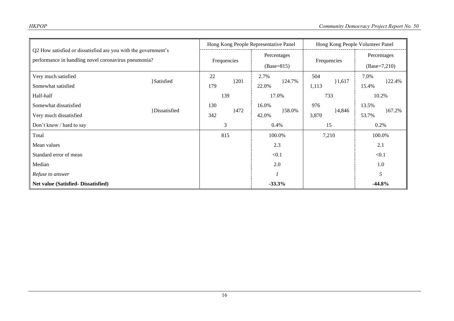| Q2 How satisfied or dissatisfied are you with the government's<br>performance in handling novel coronavirus pneumonia? |                     | Hong Kong People Representative Panel |         |                             | Hong Kong People Volunteer Panel |             |           |                |            |
|------------------------------------------------------------------------------------------------------------------------|---------------------|---------------------------------------|---------|-----------------------------|----------------------------------|-------------|-----------|----------------|------------|
|                                                                                                                        |                     | Frequencies                           |         | Percentages<br>$(Base=815)$ |                                  | Frequencies |           | Percentages    |            |
|                                                                                                                        |                     |                                       |         |                             |                                  |             |           | $(Base=7,210)$ |            |
| Very much satisfied                                                                                                    | <b>Satisfied</b>    | 22                                    | $\{201$ | 2.7%                        | $\{24.7\%$                       | 504         | 1,617     | 7.0%           | ${22.4\%}$ |
| Somewhat satisfied                                                                                                     |                     | 179                                   |         | 22.0%                       |                                  | 1,113       |           | 15.4%          |            |
| Half-half                                                                                                              |                     | 139                                   |         |                             | 17.0%                            |             | 733       | 10.2%          |            |
| Somewhat dissatisfied                                                                                                  | <i>Dissatisfied</i> | 130                                   | }472    | 16.0%                       |                                  | 976         | ${4,846}$ | 13.5%          |            |
| Very much dissatisfied                                                                                                 |                     | 342                                   |         | 42.0%                       | }58.0%                           | 3,870       |           | 53.7%          | ${67.2\%}$ |
| Don't know / hard to say                                                                                               |                     | 3                                     |         | 0.4%                        |                                  | 15          |           | 0.2%           |            |
| Total                                                                                                                  |                     | 815                                   |         |                             | 100.0%                           |             | 7,210     | 100.0%         |            |
| Mean values                                                                                                            |                     |                                       |         |                             | 2.3                              |             |           | 2.1            |            |
| Standard error of mean                                                                                                 |                     |                                       |         |                             | < 0.1                            |             |           | < 0.1          |            |
| Median                                                                                                                 |                     |                                       |         |                             | 2.0                              |             |           | 1.0            |            |
| Refuse to answer                                                                                                       |                     |                                       |         |                             |                                  |             |           |                | 5          |
| Net value (Satisfied-Dissatisfied)                                                                                     |                     |                                       |         |                             | $-33.3%$                         |             |           | $-44.8\%$      |            |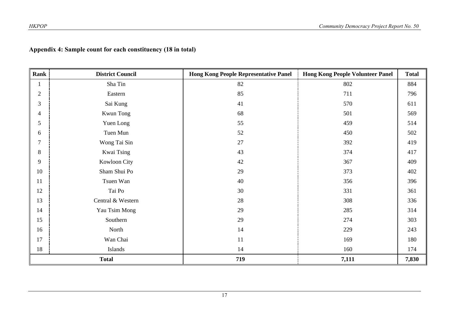# **Appendix 4: Sample count for each constituency (18 in total)**

| Rank           | <b>District Council</b> | <b>Hong Kong People Representative Panel</b> | <b>Hong Kong People Volunteer Panel</b> | <b>Total</b> |
|----------------|-------------------------|----------------------------------------------|-----------------------------------------|--------------|
|                | Sha Tin                 | 82                                           | 802                                     | 884          |
| $\overline{2}$ | Eastern                 | 85                                           | 711                                     | 796          |
| 3              | Sai Kung                | 41                                           | 570                                     | 611          |
| 4              | Kwun Tong               | 68                                           | 501                                     | 569          |
| 5              | Yuen Long               | 55                                           | 459                                     | 514          |
| 6              | Tuen Mun                | 52                                           | 450                                     | 502          |
| 7              | Wong Tai Sin            | $27\,$                                       | 392                                     | 419          |
| 8              | Kwai Tsing              | 43                                           | 374                                     | 417          |
| 9              | Kowloon City            | 42                                           | 367                                     | 409          |
| 10             | Sham Shui Po            | 29                                           | 373                                     | 402          |
| 11             | Tsuen Wan               | 40                                           | 356                                     | 396          |
| 12             | Tai Po                  | 30                                           | 331                                     | 361          |
| 13             | Central & Western       | 28                                           | 308                                     | 336          |
| 14             | Yau Tsim Mong           | 29                                           | 285                                     | 314          |
| 15             | Southern                | 29                                           | 274                                     | 303          |
| 16             | North                   | 14                                           | 229                                     | 243          |
| 17             | Wan Chai                | 11                                           | 169                                     | 180          |
| 18             | Islands                 | 14                                           | 160                                     | 174          |
|                | <b>Total</b>            | 719                                          | 7,111                                   | 7,830        |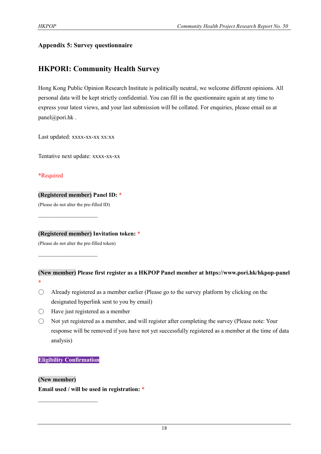# **Appendix 5: Survey questionnaire**

# **HKPORI: Community Health Survey**

Hong Kong Public Opinion Research Institute is politically neutral, we welcome different opinions. All personal data will be kept strictly confidential. You can fill in the questionnaire again at any time to express your latest views, and your last submission will be collated. For enquiries, please email us at panel@pori.hk.

Last updated: xxxx-xx-xx xx:xx

Tentative next update: xxxx-xx-xx

\*Required

## **(Registered member) Panel ID: \***

(Please do not alter the pre-filled ID)

 $\mathcal{L}_\text{max}$  , where  $\mathcal{L}_\text{max}$ 

 $\mathcal{L}_\text{max}$  , where  $\mathcal{L}_\text{max}$ 

**(Registered member) Invitation token: \***

(Please do not alter the pre-filled token)

#### **(New member) Please first register as a HKPOP Panel member at https://www.pori.hk/hkpop-panel \***

- $\bigcirc$  Already registered as a member earlier (Please go to the survey platform by clicking on the designated hyperlink sent to you by email)
- $\bigcirc$  Have just registered as a member
- Not yet registered as a member, and will register after completing the survey (Please note: Your response will be removed if you have not yet successfully registered as a member at the time of data analysis)

## **Eligibility Confirmation**

 $\mathcal{L}_\text{max}$ 

## **(New member)**

**Email used / will be used in registration: \***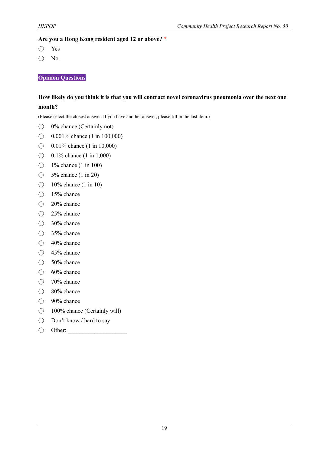#### **Are you a Hong Kong resident aged 12 or above? \***

- Yes
- No

**Opinion Questions**

# **How likely do you think it is that you will contract novel coronavirus pneumonia over the next one month?**

(Please select the closest answer. If you have another answer, please fill in the last item.)

- 0% chance (Certainly not)
- ◯ 0.001% chance (1 in 100,000)
- $\bigcirc$  0.01% chance (1 in 10,000)
- $\bigcirc$  0.1% chance (1 in 1,000)
- $\bigcirc$  1% chance (1 in 100)
- $\bigcirc$  5% chance (1 in 20)
- $\bigcirc$  10% chance (1 in 10)
- 15% chance
- 20% chance
- 25% chance
- 30% chance
- 35% chance
- $\bigcirc$  40% chance
- 45% chance
- 50% chance
- $\bigcirc$  60% chance
- 70% chance
- 80% chance
- 90% chance
- 100<sup>%</sup> chance (Certainly will)
- Don't know / hard to say
- $\bigcirc$  Other: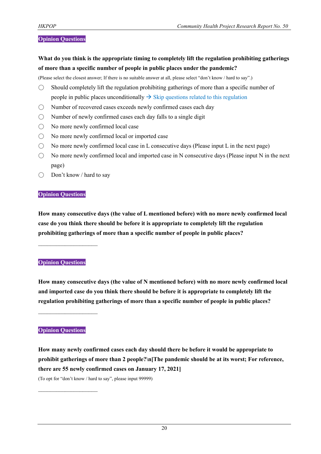#### **Opinion Questions**

**What do you think is the appropriate timing to completely lift the regulation prohibiting gatherings of more than a specific number of people in public places under the pandemic?**

(Please select the closest answer; If there is no suitable answer at all, please select "don't know / hard to say".)

- $\bigcirc$  Should completely lift the regulation prohibiting gatherings of more than a specific number of people in public places unconditionally  $\rightarrow$  Skip questions related to this regulation
- Number of recovered cases exceeds newly confirmed cases each day
- $\bigcirc$  Number of newly confirmed cases each day falls to a single digit
- No more newly confirmed local case
- No more newly confirmed local or imported case
- $\bigcirc$  No more newly confirmed local case in L consecutive days (Please input L in the next page)
- $\bigcirc$  No more newly confirmed local and imported case in N consecutive days (Please input N in the next page)
- Don't know / hard to say

#### **Opinion Questions**

**How many consecutive days (the value of L mentioned before) with no more newly confirmed local case do you think there should be before it is appropriate to completely lift the regulation prohibiting gatherings of more than a specific number of people in public places?**

#### **Opinion Questions**

 $\mathcal{L}_\text{max}$  , where  $\mathcal{L}_\text{max}$ 

**How many consecutive days (the value of N mentioned before) with no more newly confirmed local and imported case do you think there should be before it is appropriate to completely lift the regulation prohibiting gatherings of more than a specific number of people in public places?**

**Opinion Questions**

 $\mathcal{L}_\text{max}$  , where  $\mathcal{L}_\text{max}$ 

 $\mathcal{L}_\text{max}$ 

**How many newly confirmed cases each day should there be before it would be appropriate to prohibit gatherings of more than 2 people?\n[The pandemic should be at its worst; For reference, there are 55 newly confirmed cases on January 17, 2021]** (To opt for "don't know / hard to say", please input 99999)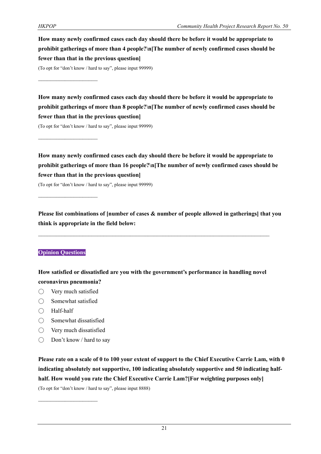**How many newly confirmed cases each day should there be before it would be appropriate to prohibit gatherings of more than 4 people?\n[The number of newly confirmed cases should be fewer than that in the previous question]**

(To opt for "don't know / hard to say", please input 99999)

 $\mathcal{L}_\text{max}$ 

 $\mathcal{L}_\text{max}$ 

**How many newly confirmed cases each day should there be before it would be appropriate to prohibit gatherings of more than 8 people?\n[The number of newly confirmed cases should be fewer than that in the previous question]**

(To opt for "don't know / hard to say", please input 99999)

**How many newly confirmed cases each day should there be before it would be appropriate to prohibit gatherings of more than 16 people?\n[The number of newly confirmed cases should be fewer than that in the previous question]**

(To opt for "don't know / hard to say", please input 99999)

**Please list combinations of [number of cases & number of people allowed in gatherings] that you think is appropriate in the field below:**

## **Opinion Questions**

**How satisfied or dissatisfied are you with the government's performance in handling novel coronavirus pneumonia?**

- Very much satisfied
- $\bigcirc$  Somewhat satisfied
- Half-half
- Somewhat dissatisfied
- Very much dissatisfied

 $\mathcal{L}_\text{max}$ 

 $\bigcirc$  Don't know / hard to say

**Please rate on a scale of 0 to 100 your extent of support to the Chief Executive Carrie Lam, with 0 indicating absolutely not supportive, 100 indicating absolutely supportive and 50 indicating halfhalf. How would you rate the Chief Executive Carrie Lam?[For weighting purposes only]**

(To opt for "don't know / hard to say", please input 8888)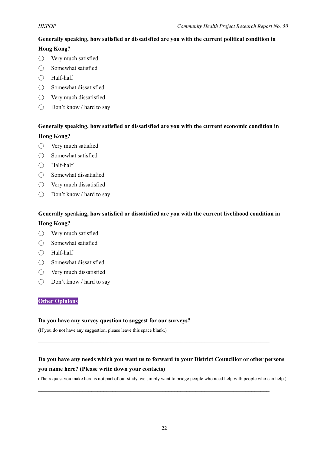# **Generally speaking, how satisfied or dissatisfied are you with the current political condition in**

# **Hong Kong?**

- Very much satisfied
- Somewhat satisfied
- Half-half
- $\bigcirc$  Somewhat dissatisfied
- Very much dissatisfied
- Don't know / hard to say

# **Generally speaking, how satisfied or dissatisfied are you with the current economic condition in Hong Kong?**

- Very much satisfied
- Somewhat satisfied
- Half-half
- Somewhat dissatisfied
- Very much dissatisfied
- Don't know / hard to say

# **Generally speaking, how satisfied or dissatisfied are you with the current livelihood condition in**

# **Hong Kong?**

- Very much satisfied
- Somewhat satisfied
- Half-half
- Somewhat dissatisfied
- Very much dissatisfied
- Don't know / hard to say

## **Other Opinions**

#### **Do you have any survey question to suggest for our surveys?**

(If you do not have any suggestion, please leave this space blank.)

# **Do you have any needs which you want us to forward to your District Councillor or other persons you name here? (Please write down your contacts)**

 $\mathcal{L}_\text{max}$  and  $\mathcal{L}_\text{max}$  and  $\mathcal{L}_\text{max}$  and  $\mathcal{L}_\text{max}$  and  $\mathcal{L}_\text{max}$  and  $\mathcal{L}_\text{max}$ 

 $\mathcal{L}_\mathcal{L} = \{ \mathcal{L}_\mathcal{L} = \{ \mathcal{L}_\mathcal{L} = \{ \mathcal{L}_\mathcal{L} = \{ \mathcal{L}_\mathcal{L} = \{ \mathcal{L}_\mathcal{L} = \{ \mathcal{L}_\mathcal{L} = \{ \mathcal{L}_\mathcal{L} = \{ \mathcal{L}_\mathcal{L} = \{ \mathcal{L}_\mathcal{L} = \{ \mathcal{L}_\mathcal{L} = \{ \mathcal{L}_\mathcal{L} = \{ \mathcal{L}_\mathcal{L} = \{ \mathcal{L}_\mathcal{L} = \{ \mathcal{L}_\mathcal{$ 

(The request you make here is not part of our study, we simply want to bridge people who need help with people who can help.)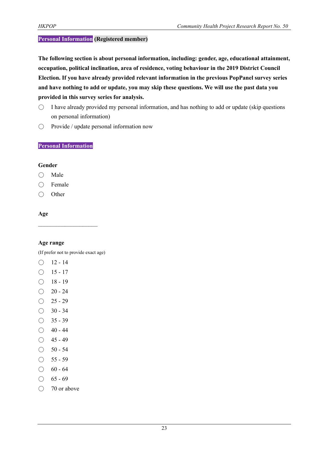#### **Personal Information (Registered member)**

**The following section is about personal information, including: gender, age, educational attainment, occupation, political inclination, area of residence, voting behaviour in the 2019 District Council Election. If you have already provided relevant information in the previous PopPanel survey series and have nothing to add or update, you may skip these questions. We will use the past data you provided in this survey series for analysis.**

- $\circ$  I have already provided my personal information, and has nothing to add or update (skip questions on personal information)
- Provide / update personal information now

#### **Personal Information**

#### **Gender**

- Male
- Female
- Other

### **Age**

#### **Age range**

(If prefer not to provide exact age)

- $O$  12 14
- $\bigcirc$  15 17
- $\bigcirc$  18 19
- $\bigcirc$  20 24
- $\bigcirc$  25 29
- $\bigcirc$  30 34
- $\bigcirc$  35 39
- $\bigcirc$  40 44
- $\bigcirc$  45 49
- $\bigcirc$  50 54
- $\bigcirc$  55 59
- $\bigcirc$  60 64
- $\bigcirc$  65 69
- 70 or above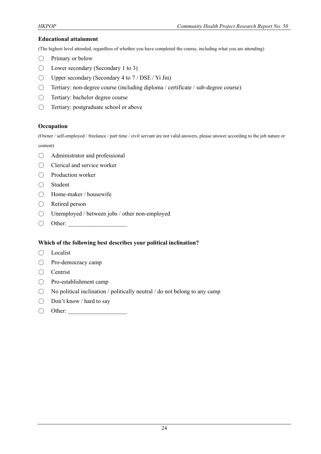#### **Educational attainment**

(The highest level attended, regardless of whether you have completed the course, including what you are attending)

- $\bigcirc$  Primary or below
- $\bigcirc$  Lower secondary (Secondary 1 to 3)
- $\bigcirc$  Upper secondary (Secondary 4 to 7 / DSE / Yi Jin)
- Tertiary: non-degree course (including diploma / certificate / sub-degree course)
- Tertiary: bachelor degree course
- Tertiary: postgraduate school or above

#### **Occupation**

(Owner / self-employed / freelance / part time / civil servant are not valid answers, please answer according to the job nature or content)

- Administrator and professional
- Clerical and service worker
- Production worker
- Student
- Home-maker / housewife
- Retired person
- Unemployed / between jobs / other non-employed
- $\bigcirc$  Other:

#### **Which of the following best describes your political inclination?**

- Localist
- Pro-democracy camp
- Centrist
- Pro-establishment camp
- $\bigcirc$  No political inclination / politically neutral / do not belong to any camp
- Don't know / hard to say
- $\bigcirc$  Other: